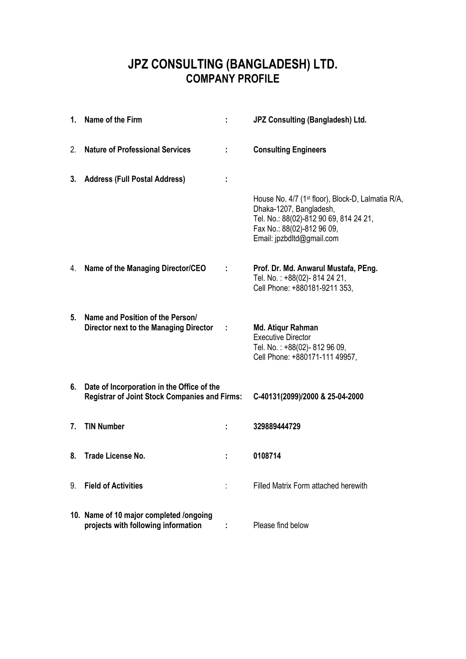## **JPZ CONSULTING (BANGLADESH) LTD. COMPANY PROFILE**

|    | 1. Name of the Firm                                                                                |          | JPZ Consulting (Bangladesh) Ltd.                                                                                                                                                              |
|----|----------------------------------------------------------------------------------------------------|----------|-----------------------------------------------------------------------------------------------------------------------------------------------------------------------------------------------|
| 2. | <b>Nature of Professional Services</b>                                                             |          | <b>Consulting Engineers</b>                                                                                                                                                                   |
| 3. | <b>Address (Full Postal Address)</b>                                                               |          |                                                                                                                                                                                               |
|    |                                                                                                    |          | House No. 4/7 (1 <sup>st</sup> floor), Block-D, Lalmatia R/A,<br>Dhaka-1207, Bangladesh,<br>Tel. No.: 88(02)-812 90 69, 814 24 21,<br>Fax No.: 88(02)-812 96 09,<br>Email: jpzbdltd@gmail.com |
|    | 4. Name of the Managing Director/CEO                                                               |          | Prof. Dr. Md. Anwarul Mustafa, PEng.<br>Tel. No.: +88(02)-814 24 21,<br>Cell Phone: +880181-9211 353,                                                                                         |
| 5. | Name and Position of the Person/<br>Director next to the Managing Director                         | $\sim$ 1 | Md. Atiqur Rahman<br><b>Executive Director</b><br>Tel. No.: +88(02)-812 96 09,<br>Cell Phone: +880171-111 49957,                                                                              |
| 6. | Date of Incorporation in the Office of the<br><b>Registrar of Joint Stock Companies and Firms:</b> |          | C-40131(2099)/2000 & 25-04-2000                                                                                                                                                               |
| 7. | <b>TIN Number</b>                                                                                  |          | 329889444729                                                                                                                                                                                  |
|    | 8. Trade License No.                                                                               |          | 0108714                                                                                                                                                                                       |
| 9. | <b>Field of Activities</b>                                                                         |          | Filled Matrix Form attached herewith                                                                                                                                                          |
|    | 10. Name of 10 major completed /ongoing<br>projects with following information                     |          | Please find below                                                                                                                                                                             |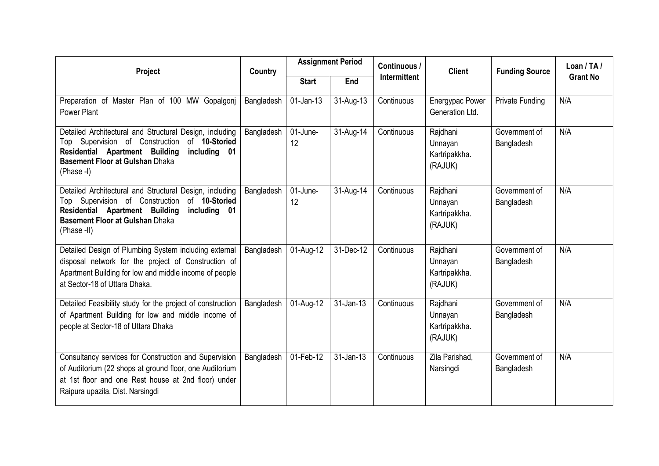| Project                                                                                                                                                                                                               | Country    |                | <b>Assignment Period</b> | Continuous /        | <b>Client</b>                                   | <b>Funding Source</b>       | Loan / $TA/$    |
|-----------------------------------------------------------------------------------------------------------------------------------------------------------------------------------------------------------------------|------------|----------------|--------------------------|---------------------|-------------------------------------------------|-----------------------------|-----------------|
|                                                                                                                                                                                                                       |            | <b>Start</b>   | End                      | <b>Intermittent</b> |                                                 |                             | <b>Grant No</b> |
| Preparation of Master Plan of 100 MW Gopalgonj<br><b>Power Plant</b>                                                                                                                                                  | Bangladesh | $01$ -Jan-13   | 31-Aug-13                | Continuous          | <b>Energypac Power</b><br>Generation Ltd.       | <b>Private Funding</b>      | N/A             |
| Detailed Architectural and Structural Design, including<br>Top Supervision of Construction<br>of 10-Storied<br>Residential Apartment Building<br>including 01<br><b>Basement Floor at Gulshan Dhaka</b><br>(Phase -I) | Bangladesh | 01-June-<br>12 | 31-Aug-14                | Continuous          | Rajdhani<br>Unnayan<br>Kartripakkha.<br>(RAJUK) | Government of<br>Bangladesh | N/A             |
| Detailed Architectural and Structural Design, including<br>of 10-Storied<br>Top Supervision of Construction<br>Residential Apartment Building<br>including 01<br>Basement Floor at Gulshan Dhaka<br>(Phase -II)       | Bangladesh | 01-June-<br>12 | 31-Aug-14                | Continuous          | Rajdhani<br>Unnayan<br>Kartripakkha.<br>(RAJUK) | Government of<br>Bangladesh | N/A             |
| Detailed Design of Plumbing System including external<br>disposal network for the project of Construction of<br>Apartment Building for low and middle income of people<br>at Sector-18 of Uttara Dhaka.               | Bangladesh | 01-Aug-12      | 31-Dec-12                | Continuous          | Rajdhani<br>Unnayan<br>Kartripakkha.<br>(RAJUK) | Government of<br>Bangladesh | N/A             |
| Detailed Feasibility study for the project of construction<br>of Apartment Building for low and middle income of<br>people at Sector-18 of Uttara Dhaka                                                               | Bangladesh | 01-Aug-12      | 31-Jan-13                | Continuous          | Rajdhani<br>Unnayan<br>Kartripakkha.<br>(RAJUK) | Government of<br>Bangladesh | N/A             |
| Consultancy services for Construction and Supervision<br>of Auditorium (22 shops at ground floor, one Auditorium<br>at 1st floor and one Rest house at 2nd floor) under<br>Raipura upazila, Dist. Narsingdi           | Bangladesh | 01-Feb-12      | 31-Jan-13                | Continuous          | Zila Parishad,<br>Narsingdi                     | Government of<br>Bangladesh | N/A             |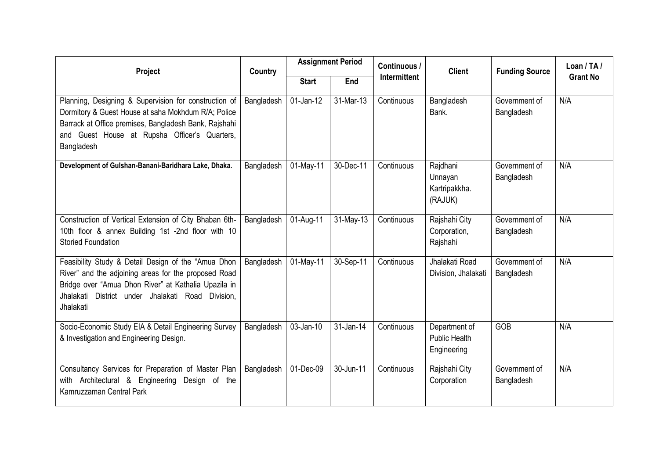| Project                                                                                                                                                                                                                               | Country    |              | <b>Assignment Period</b> | Continuous /        | <b>Client</b>                                        | <b>Funding Source</b>       | Loan / TA /     |  |  |
|---------------------------------------------------------------------------------------------------------------------------------------------------------------------------------------------------------------------------------------|------------|--------------|--------------------------|---------------------|------------------------------------------------------|-----------------------------|-----------------|--|--|
|                                                                                                                                                                                                                                       |            | <b>Start</b> | End                      | <b>Intermittent</b> |                                                      |                             | <b>Grant No</b> |  |  |
| Planning, Designing & Supervision for construction of<br>Dormitory & Guest House at saha Mokhdum R/A; Police<br>Barrack at Office premises, Bangladesh Bank, Rajshahi<br>and Guest House at Rupsha Officer's Quarters,<br>Bangladesh  | Bangladesh | $01$ -Jan-12 | 31-Mar-13                | Continuous          | Bangladesh<br>Bank.                                  | Government of<br>Bangladesh | N/A             |  |  |
| Development of Gulshan-Banani-Baridhara Lake, Dhaka.                                                                                                                                                                                  | Bangladesh | 01-May-11    | 30-Dec-11                | Continuous          | Rajdhani<br>Unnayan<br>Kartripakkha.<br>(RAJUK)      | Government of<br>Bangladesh | N/A             |  |  |
| Construction of Vertical Extension of City Bhaban 6th-<br>10th floor & annex Building 1st -2nd floor with 10<br><b>Storied Foundation</b>                                                                                             | Bangladesh | 01-Aug-11    | 31-May-13                | Continuous          | Rajshahi City<br>Corporation,<br>Rajshahi            | Government of<br>Bangladesh | N/A             |  |  |
| Feasibility Study & Detail Design of the "Amua Dhon<br>River" and the adjoining areas for the proposed Road<br>Bridge over "Amua Dhon River" at Kathalia Upazila in<br>Jhalakati District under Jhalakati Road Division.<br>Jhalakati | Bangladesh | $01$ -May-11 | 30-Sep-11                | Continuous          | Jhalakati Road<br>Division, Jhalakati                | Government of<br>Bangladesh | N/A             |  |  |
| Socio-Economic Study EIA & Detail Engineering Survey<br>& Investigation and Engineering Design.                                                                                                                                       | Bangladesh | 03-Jan-10    | 31-Jan-14                | Continuous          | Department of<br><b>Public Health</b><br>Engineering | GOB                         | N/A             |  |  |
| Consultancy Services for Preparation of Master Plan<br>with Architectural & Engineering Design of the<br>Kamruzzaman Central Park                                                                                                     | Bangladesh | 01-Dec-09    | 30-Jun-11                | Continuous          | Rajshahi City<br>Corporation                         | Government of<br>Bangladesh | N/A             |  |  |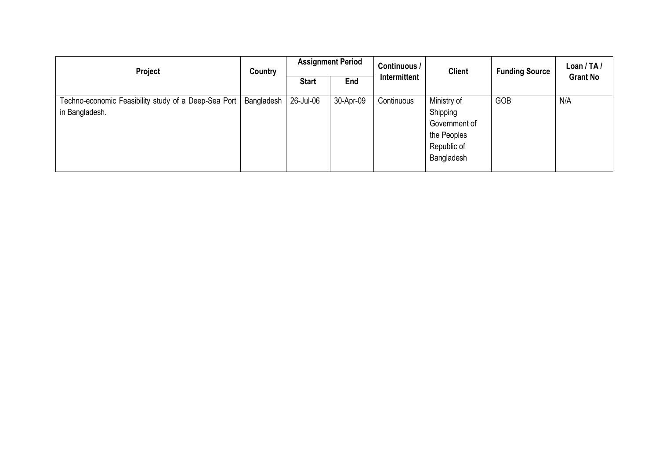| Project                                                                | Country    |              | <b>Assignment Period</b> | Continuous / | <b>Client</b>                                                                        | <b>Funding Source</b> | Loan / TA /     |
|------------------------------------------------------------------------|------------|--------------|--------------------------|--------------|--------------------------------------------------------------------------------------|-----------------------|-----------------|
|                                                                        |            | <b>Start</b> | End                      | Intermittent |                                                                                      |                       | <b>Grant No</b> |
| Techno-economic Feasibility study of a Deep-Sea Port<br>in Bangladesh. | Bangladesh | 26-Jul-06    | 30-Apr-09                | Continuous   | Ministry of<br>Shipping<br>Government of<br>the Peoples<br>Republic of<br>Bangladesh | GOB                   | N/A             |